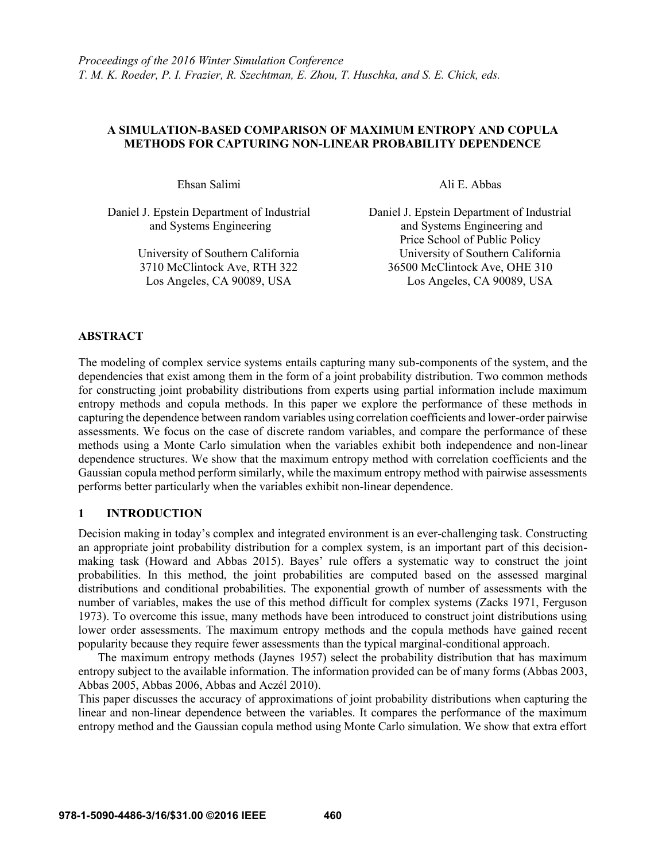# **A SIMULATION-BASED COMPARISON OF MAXIMUM ENTROPY AND COPULA METHODS FOR CAPTURING NON-LINEAR PROBABILITY DEPENDENCE**

Ehsan Salimi Ali E. Abbas

Daniel J. Epstein Department of Industrial and Systems Engineering

> University of Southern California 3710 McClintock Ave, RTH 322

Daniel J. Epstein Department of Industrial and Systems Engineering and Price School of Public Policy University of Southern California 36500 McClintock Ave, OHE 310 Los Angeles, CA 90089, USA Los Angeles, CA 90089, USA

## **ABSTRACT**

The modeling of complex service systems entails capturing many sub-components of the system, and the dependencies that exist among them in the form of a joint probability distribution. Two common methods for constructing joint probability distributions from experts using partial information include maximum entropy methods and copula methods. In this paper we explore the performance of these methods in capturing the dependence between random variables using correlation coefficients and lower-order pairwise assessments. We focus on the case of discrete random variables, and compare the performance of these methods using a Monte Carlo simulation when the variables exhibit both independence and non-linear dependence structures. We show that the maximum entropy method with correlation coefficients and the Gaussian copula method perform similarly, while the maximum entropy method with pairwise assessments performs better particularly when the variables exhibit non-linear dependence.

## **1 INTRODUCTION**

Decision making in today's complex and integrated environment is an ever-challenging task. Constructing an appropriate joint probability distribution for a complex system, is an important part of this decisionmaking task (Howard and Abbas 2015). Bayes' rule offers a systematic way to construct the joint probabilities. In this method, the joint probabilities are computed based on the assessed marginal distributions and conditional probabilities. The exponential growth of number of assessments with the number of variables, makes the use of this method difficult for complex systems (Zacks 1971, Ferguson 1973). To overcome this issue, many methods have been introduced to construct joint distributions using lower order assessments. The maximum entropy methods and the copula methods have gained recent popularity because they require fewer assessments than the typical marginal-conditional approach.

The maximum entropy methods (Jaynes 1957) select the probability distribution that has maximum entropy subject to the available information. The information provided can be of many forms (Abbas 2003, Abbas 2005, Abbas 2006, Abbas and Aczél 2010).

This paper discusses the accuracy of approximations of joint probability distributions when capturing the linear and non-linear dependence between the variables. It compares the performance of the maximum entropy method and the Gaussian copula method using Monte Carlo simulation. We show that extra effort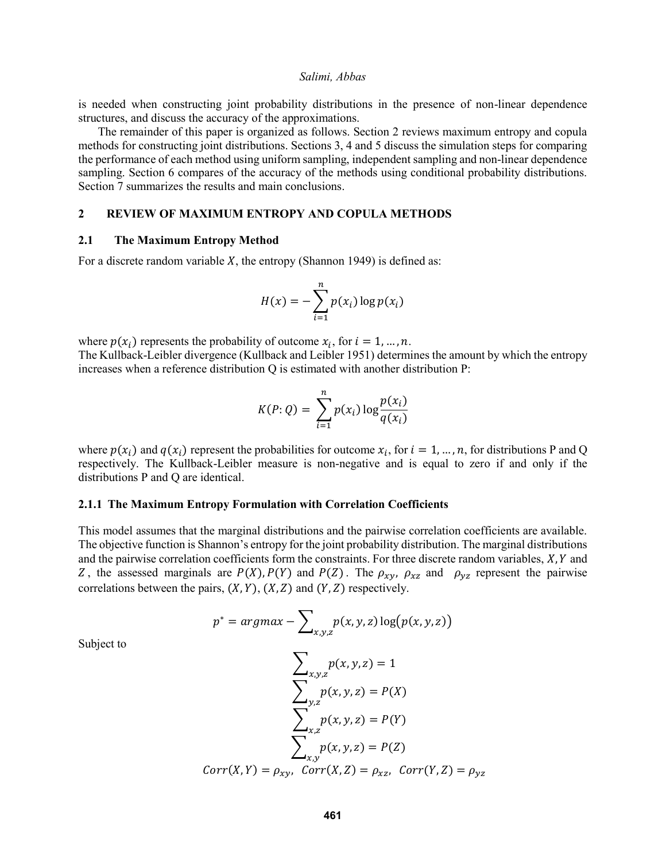is needed when constructing joint probability distributions in the presence of non-linear dependence structures, and discuss the accuracy of the approximations.

The remainder of this paper is organized as follows. Section 2 reviews maximum entropy and copula methods for constructing joint distributions. Sections 3, 4 and 5 discuss the simulation steps for comparing the performance of each method using uniform sampling, independent sampling and non-linear dependence sampling. Section 6 compares of the accuracy of the methods using conditional probability distributions. Section 7 summarizes the results and main conclusions.

#### **2 REVIEW OF MAXIMUM ENTROPY AND COPULA METHODS**

## **2.1 The Maximum Entropy Method**

For a discrete random variable  $X$ , the entropy (Shannon 1949) is defined as:

$$
H(x) = -\sum_{i=1}^{n} p(x_i) \log p(x_i)
$$

where  $p(x_i)$  represents the probability of outcome  $x_i$ , for  $i = 1, ..., n$ . The Kullback-Leibler divergence (Kullback and Leibler 1951) determines the amount by which the entropy increases when a reference distribution Q is estimated with another distribution P:

$$
K(P:Q) = \sum_{i=1}^{n} p(x_i) \log \frac{p(x_i)}{q(x_i)}
$$

where  $p(x_i)$  and  $q(x_i)$  represent the probabilities for outcome  $x_i$ , for  $i = 1, ..., n$ , for distributions P and Q respectively. The Kullback-Leibler measure is non-negative and is equal to zero if and only if the distributions P and Q are identical.

#### **2.1.1 The Maximum Entropy Formulation with Correlation Coefficients**

This model assumes that the marginal distributions and the pairwise correlation coefficients are available. The objective function is Shannon's entropy for the joint probability distribution. The marginal distributions and the pairwise correlation coefficients form the constraints. For three discrete random variables,  $X, Y$  and Z, the assessed marginals are  $P(X)$ ,  $P(Y)$  and  $P(Z)$ . The  $\rho_{xy}$ ,  $\rho_{xz}$  and  $\rho_{yz}$  represent the pairwise correlations between the pairs,  $(X, Y)$ ,  $(X, Z)$  and  $(Y, Z)$  respectively.

$$
p^* = argmax - \sum_{x,y,z} p(x,y,z) \log(p(x,y,z))
$$

Subject to

$$
\sum_{x,y,z} p(x,y,z) = 1
$$

$$
\sum_{y,z} p(x,y,z) = P(X)
$$

$$
\sum_{x,z} p(x,y,z) = P(Y)
$$

$$
\sum_{x,y} p(x,y,z) = P(Z)
$$

$$
Corr(X,Y) = \rho_{xy}, Corr(X,Z) = \rho_{xz}, Corr(Y,Z) = \rho_{yz}
$$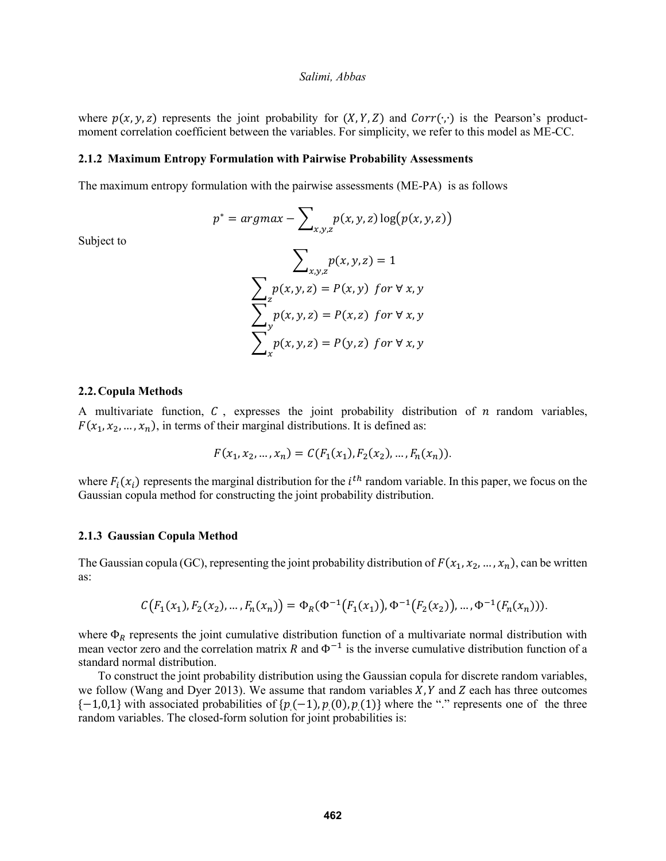where  $p(x, y, z)$  represents the joint probability for  $(X, Y, Z)$  and  $Corr(\cdot, \cdot)$  is the Pearson's productmoment correlation coefficient between the variables. For simplicity, we refer to this model as ME-CC.

#### **2.1.2 Maximum Entropy Formulation with Pairwise Probability Assessments**

The maximum entropy formulation with the pairwise assessments (ME-PA) is as follows

$$
p^* = argmax - \sum_{x,y,z} p(x,y,z) \log(p(x,y,z))
$$

Subject to

$$
\sum_{x,y,z} p(x,y,z) = 1
$$
  

$$
\sum_{z} p(x,y,z) = P(x,y) \text{ for } \forall x,y
$$
  

$$
\sum_{y} p(x,y,z) = P(x,z) \text{ for } \forall x,y
$$
  

$$
\sum_{x} p(x,y,z) = P(y,z) \text{ for } \forall x,y
$$

#### **2.2.Copula Methods**

A multivariate function,  $C$ , expresses the joint probability distribution of  $n$  random variables,  $F(x_1, x_2, ..., x_n)$ , in terms of their marginal distributions. It is defined as:

$$
F(x_1, x_2, ..., x_n) = C(F_1(x_1), F_2(x_2), ..., F_n(x_n)).
$$

where  $F_i(x_i)$  represents the marginal distribution for the  $i<sup>th</sup>$  random variable. In this paper, we focus on the Gaussian copula method for constructing the joint probability distribution.

#### **2.1.3 Gaussian Copula Method**

The Gaussian copula (GC), representing the joint probability distribution of  $F(x_1, x_2, ..., x_n)$ , can be written as:

$$
C(F_1(x_1), F_2(x_2), ..., F_n(x_n)) = \Phi_R(\Phi^{-1}(F_1(x_1)), \Phi^{-1}(F_2(x_2)), ..., \Phi^{-1}(F_n(x_n))).
$$

where  $\Phi_R$  represents the joint cumulative distribution function of a multivariate normal distribution with mean vector zero and the correlation matrix R and  $\Phi^{-1}$  is the inverse cumulative distribution function of a standard normal distribution.

To construct the joint probability distribution using the Gaussian copula for discrete random variables, we follow (Wang and Dyer 2013). We assume that random variables  $X, Y$  and  $Z$  each has three outcomes  $\{-1,0,1\}$  with associated probabilities of  $\{p(-1), p(0), p(1)\}$  where the "." represents one of the three random variables. The closed-form solution for joint probabilities is: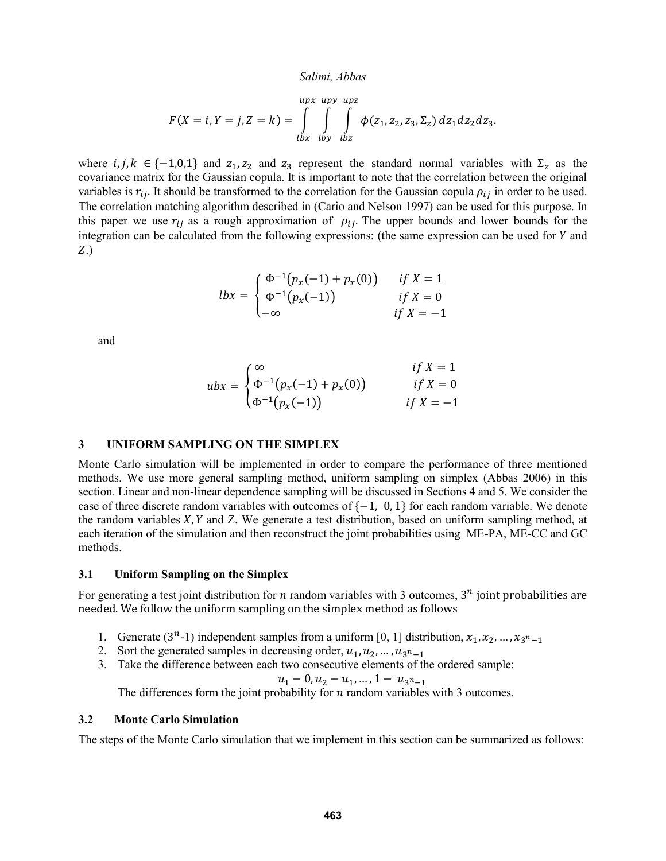*Salimi, Abbas*

$$
F(X = i, Y = j, Z = k) = \int_{lbx}^{upx} \int_{lby} \int_{lbx} \phi(z_1, z_2, z_3, \Sigma_z) dz_1 dz_2 dz_3.
$$

where *i*, *j*,  $k \in \{-1,0,1\}$  and  $z_1, z_2$  and  $z_3$  represent the standard normal variables with  $\Sigma_z$  as the covariance matrix for the Gaussian copula. It is important to note that the correlation between the original variables is  $r_{ij}$ . It should be transformed to the correlation for the Gaussian copula  $\rho_{ij}$  in order to be used. The correlation matching algorithm described in (Cario and Nelson 1997) can be used for this purpose. In this paper we use  $r_{ij}$  as a rough approximation of  $\rho_{ij}$ . The upper bounds and lower bounds for the integration can be calculated from the following expressions: (the same expression can be used for  $Y$  and  $Z.$ )

$$
lbx = \begin{cases} \Phi^{-1}(p_x(-1) + p_x(0)) & \text{if } X = 1 \\ \Phi^{-1}(p_x(-1)) & \text{if } X = 0 \\ -\infty & \text{if } X = -1 \end{cases}
$$

and

$$
ubx = \begin{cases} \infty & \text{if } X = 1 \\ \Phi^{-1}(p_X(-1) + p_X(0)) & \text{if } X = 0 \\ \Phi^{-1}(p_X(-1)) & \text{if } X = -1 \end{cases}
$$

## **3 UNIFORM SAMPLING ON THE SIMPLEX**

Monte Carlo simulation will be implemented in order to compare the performance of three mentioned methods. We use more general sampling method, uniform sampling on simplex (Abbas 2006) in this section. Linear and non-linear dependence sampling will be discussed in Sections 4 and 5. We consider the case of three discrete random variables with outcomes of {−1, 0, 1} for each random variable. We denote the random variables  $X, Y$  and  $Z$ . We generate a test distribution, based on uniform sampling method, at each iteration of the simulation and then reconstruct the joint probabilities using ME-PA, ME-CC and GC methods.

#### **3.1 Uniform Sampling on the Simplex**

For generating a test joint distribution for *n* random variables with 3 outcomes,  $3^n$  joint probabilities are needed. We follow the uniform sampling on the simplex method as follows

- 1. Generate  $(3^n-1)$  independent samples from a uniform [0, 1] distribution,  $x_1, x_2, ..., x_{3^n-1}$
- 2. Sort the generated samples in decreasing order,  $u_1, u_2, ..., u_3n_{-1}$
- 3. Take the difference between each two consecutive elements of the ordered sample:

$$
u_1 - 0, u_2 - u_1, \dots, 1 - u_{3^n-1}
$$

The differences form the joint probability for  $n$  random variables with 3 outcomes.

#### **3.2 Monte Carlo Simulation**

The steps of the Monte Carlo simulation that we implement in this section can be summarized as follows: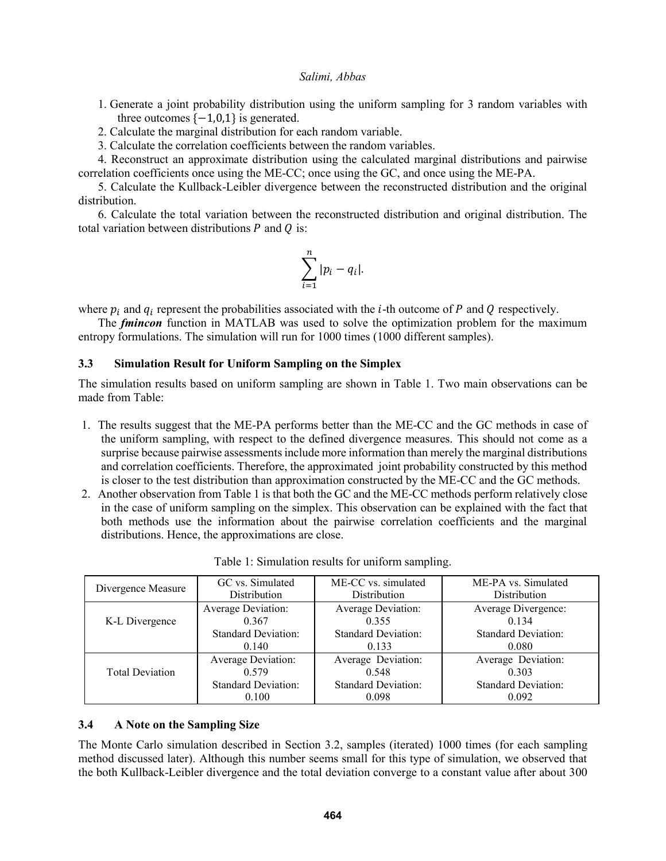- 1. Generate a joint probability distribution using the uniform sampling for 3 random variables with three outcomes  $\{-1,0,1\}$  is generated.
- 2. Calculate the marginal distribution for each random variable.
- 3. Calculate the correlation coefficients between the random variables.

4. Reconstruct an approximate distribution using the calculated marginal distributions and pairwise correlation coefficients once using the ME-CC; once using the GC, and once using the ME-PA.

5. Calculate the Kullback-Leibler divergence between the reconstructed distribution and the original distribution.

6. Calculate the total variation between the reconstructed distribution and original distribution. The total variation between distributions  $P$  and  $Q$  is:

$$
\sum_{i=1}^n |p_i - q_i|.
$$

where  $p_i$  and  $q_i$  represent the probabilities associated with the *i*-th outcome of  $P$  and  $Q$  respectively.

The *fmincon* function in MATLAB was used to solve the optimization problem for the maximum entropy formulations. The simulation will run for 1000 times (1000 different samples).

# **3.3 Simulation Result for Uniform Sampling on the Simplex**

The simulation results based on uniform sampling are shown in Table 1. Two main observations can be made from Table:

- 1. The results suggest that the ME-PA performs better than the ME-CC and the GC methods in case of the uniform sampling, with respect to the defined divergence measures. This should not come as a surprise because pairwise assessments include more information than merely the marginal distributions and correlation coefficients. Therefore, the approximated joint probability constructed by this method is closer to the test distribution than approximation constructed by the ME-CC and the GC methods.
- 2. Another observation from Table 1 is that both the GC and the ME-CC methods perform relatively close in the case of uniform sampling on the simplex. This observation can be explained with the fact that both methods use the information about the pairwise correlation coefficients and the marginal distributions. Hence, the approximations are close.

| Divergence Measure     | GC vs. Simulated           | ME-CC vs. simulated        | ME-PA vs. Simulated        |
|------------------------|----------------------------|----------------------------|----------------------------|
|                        | Distribution               | Distribution               | Distribution               |
| K-L Divergence         | Average Deviation:         | Average Deviation:         | Average Divergence:        |
|                        | 0.367                      | 0.355                      | 0 1 3 4                    |
|                        | <b>Standard Deviation:</b> | <b>Standard Deviation:</b> | <b>Standard Deviation:</b> |
|                        | 0.140                      | 0.133                      | 0.080                      |
| <b>Total Deviation</b> | <b>Average Deviation:</b>  | Average Deviation:         | Average Deviation:         |
|                        | 0.579                      | 0.548                      | 0.303                      |
|                        | <b>Standard Deviation:</b> | <b>Standard Deviation:</b> | <b>Standard Deviation:</b> |
|                        | 0.100                      | 0.098                      | 0.092                      |

Table 1: Simulation results for uniform sampling.

## **3.4 A Note on the Sampling Size**

The Monte Carlo simulation described in Section 3.2, samples (iterated) 1000 times (for each sampling method discussed later). Although this number seems small for this type of simulation, we observed that the both Kullback-Leibler divergence and the total deviation converge to a constant value after about 300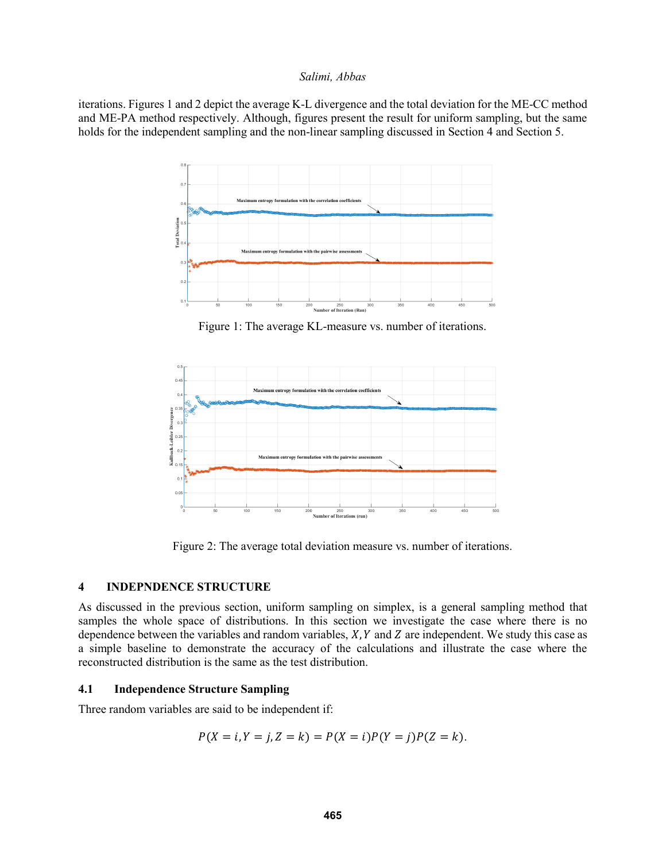iterations. Figures 1 and 2 depict the average K-L divergence and the total deviation for the ME-CC method and ME-PA method respectively. Although, figures present the result for uniform sampling, but the same holds for the independent sampling and the non-linear sampling discussed in Section 4 and Section 5.



Figure 1: The average KL-measure vs. number of iterations.



Figure 2: The average total deviation measure vs. number of iterations.

# **4 INDEPNDENCE STRUCTURE**

As discussed in the previous section, uniform sampling on simplex, is a general sampling method that samples the whole space of distributions. In this section we investigate the case where there is no dependence between the variables and random variables,  $X, Y$  and  $Z$  are independent. We study this case as a simple baseline to demonstrate the accuracy of the calculations and illustrate the case where the reconstructed distribution is the same as the test distribution.

## **4.1 Independence Structure Sampling**

Three random variables are said to be independent if:

$$
P(X = i, Y = j, Z = k) = P(X = i)P(Y = j)P(Z = k).
$$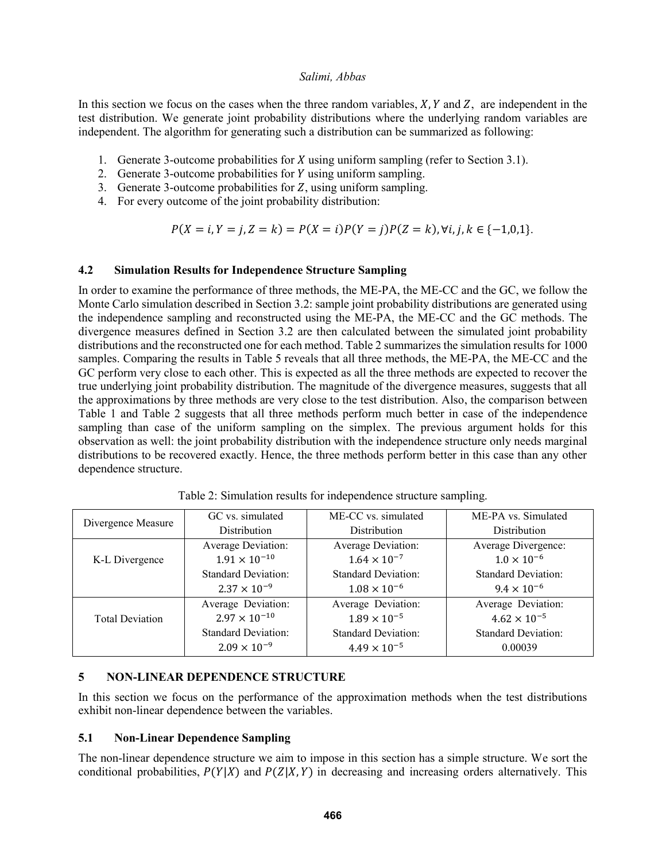In this section we focus on the cases when the three random variables,  $X, Y$  and  $Z$ , are independent in the test distribution. We generate joint probability distributions where the underlying random variables are independent. The algorithm for generating such a distribution can be summarized as following:

- 1. Generate 3-outcome probabilities for  $X$  using uniform sampling (refer to Section 3.1).
- 2. Generate 3-outcome probabilities for  $Y$  using uniform sampling.
- 3. Generate 3-outcome probabilities for  $Z$ , using uniform sampling.
- 4. For every outcome of the joint probability distribution:

$$
P(X = i, Y = j, Z = k) = P(X = i)P(Y = j)P(Z = k), \forall i, j, k \in \{-1, 0, 1\}.
$$

## **4.2 Simulation Results for Independence Structure Sampling**

In order to examine the performance of three methods, the ME-PA, the ME-CC and the GC, we follow the Monte Carlo simulation described in Section 3.2: sample joint probability distributions are generated using the independence sampling and reconstructed using the ME-PA, the ME-CC and the GC methods. The divergence measures defined in Section 3.2 are then calculated between the simulated joint probability distributions and the reconstructed one for each method. Table 2 summarizes the simulation results for 1000 samples. Comparing the results in Table 5 reveals that all three methods, the ME-PA, the ME-CC and the GC perform very close to each other. This is expected as all the three methods are expected to recover the true underlying joint probability distribution. The magnitude of the divergence measures, suggests that all the approximations by three methods are very close to the test distribution. Also, the comparison between Table 1 and Table 2 suggests that all three methods perform much better in case of the independence sampling than case of the uniform sampling on the simplex. The previous argument holds for this observation as well: the joint probability distribution with the independence structure only needs marginal distributions to be recovered exactly. Hence, the three methods perform better in this case than any other dependence structure.

|                        | GC vs. simulated           | ME-CC vs. simulated        | ME-PA vs. Simulated        |
|------------------------|----------------------------|----------------------------|----------------------------|
| Divergence Measure     | Distribution               | <b>Distribution</b>        | <b>Distribution</b>        |
|                        | Average Deviation:         | Average Deviation:         | Average Divergence:        |
| K-L Divergence         | $1.91 \times 10^{-10}$     | $1.64 \times 10^{-7}$      | $1.0 \times 10^{-6}$       |
|                        | <b>Standard Deviation:</b> | <b>Standard Deviation:</b> | <b>Standard Deviation:</b> |
|                        | $2.37 \times 10^{-9}$      | $1.08 \times 10^{-6}$      | $9.4 \times 10^{-6}$       |
|                        | Average Deviation:         | Average Deviation:         | Average Deviation:         |
| <b>Total Deviation</b> | $2.97 \times 10^{-10}$     | $1.89 \times 10^{-5}$      | $4.62 \times 10^{-5}$      |
|                        | <b>Standard Deviation:</b> | <b>Standard Deviation:</b> | <b>Standard Deviation:</b> |
|                        | $2.09 \times 10^{-9}$      | $4.49 \times 10^{-5}$      | 0.00039                    |

Table 2: Simulation results for independence structure sampling.

# **5 NON-LINEAR DEPENDENCE STRUCTURE**

In this section we focus on the performance of the approximation methods when the test distributions exhibit non-linear dependence between the variables.

## **5.1 Non-Linear Dependence Sampling**

The non-linear dependence structure we aim to impose in this section has a simple structure. We sort the conditional probabilities,  $P(Y|X)$  and  $P(Z|X, Y)$  in decreasing and increasing orders alternatively. This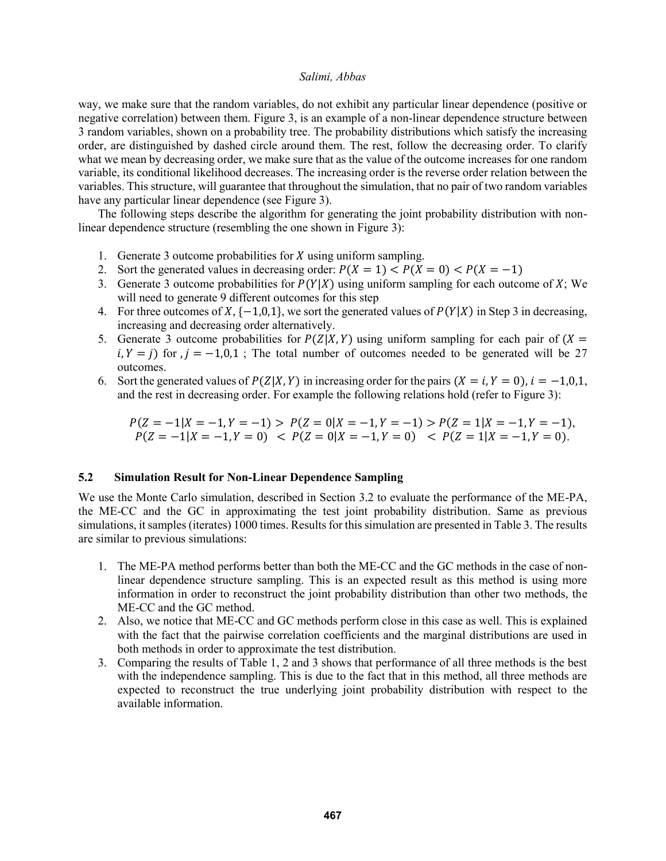way, we make sure that the random variables, do not exhibit any particular linear dependence (positive or negative correlation) between them. Figure 3, is an example of a non-linear dependence structure between 3 random variables, shown on a probability tree. The probability distributions which satisfy the increasing order, are distinguished by dashed circle around them. The rest, follow the decreasing order. To clarify what we mean by decreasing order, we make sure that as the value of the outcome increases for one random variable, its conditional likelihood decreases. The increasing order is the reverse order relation between the variables. This structure, will guarantee that throughout the simulation, that no pair of two random variables have any particular linear dependence (see Figure 3).

The following steps describe the algorithm for generating the joint probability distribution with nonlinear dependence structure (resembling the one shown in Figure 3):

- 1. Generate 3 outcome probabilities for  $X$  using uniform sampling.
- 2. Sort the generated values in decreasing order:  $P(X = 1) < P(X = 0) < P(X = -1)$
- 3. Generate 3 outcome probabilities for  $P(Y|X)$  using uniform sampling for each outcome of X; We will need to generate 9 different outcomes for this step
- 4. For three outcomes of X,  $\{-1,0,1\}$ , we sort the generated values of  $P(Y|X)$  in Step 3 in decreasing, increasing and decreasing order alternatively.
- 5. Generate 3 outcome probabilities for  $P(Z|X, Y)$  using uniform sampling for each pair of  $(X =$  $i, Y = j$  for  $i, j = -1, 0, 1$ ; The total number of outcomes needed to be generated will be 27 outcomes.
- 6. Sort the generated values of  $P(Z|X, Y)$  in increasing order for the pairs  $(X = i, Y = 0)$ ,  $i = -1,0,1$ , and the rest in decreasing order. For example the following relations hold (refer to Figure 3):

$$
P(Z = -1|X = -1, Y = -1) > P(Z = 0|X = -1, Y = -1) > P(Z = 1|X = -1, Y = -1),
$$
\n
$$
P(Z = -1|X = -1, Y = 0) < P(Z = 0|X = -1, Y = 0) < P(Z = 1|X = -1, Y = 0).
$$

## **5.2 Simulation Result for Non-Linear Dependence Sampling**

We use the Monte Carlo simulation, described in Section 3.2 to evaluate the performance of the ME-PA, the ME-CC and the GC in approximating the test joint probability distribution. Same as previous simulations, it samples (iterates) 1000 times. Results for this simulation are presented in Table 3. The results are similar to previous simulations:

- 1. The ME-PA method performs better than both the ME-CC and the GC methods in the case of nonlinear dependence structure sampling. This is an expected result as this method is using more information in order to reconstruct the joint probability distribution than other two methods, the ME-CC and the GC method.
- 2. Also, we notice that ME-CC and GC methods perform close in this case as well. This is explained with the fact that the pairwise correlation coefficients and the marginal distributions are used in both methods in order to approximate the test distribution.
- 3. Comparing the results of Table 1, 2 and 3 shows that performance of all three methods is the best with the independence sampling. This is due to the fact that in this method, all three methods are expected to reconstruct the true underlying joint probability distribution with respect to the available information.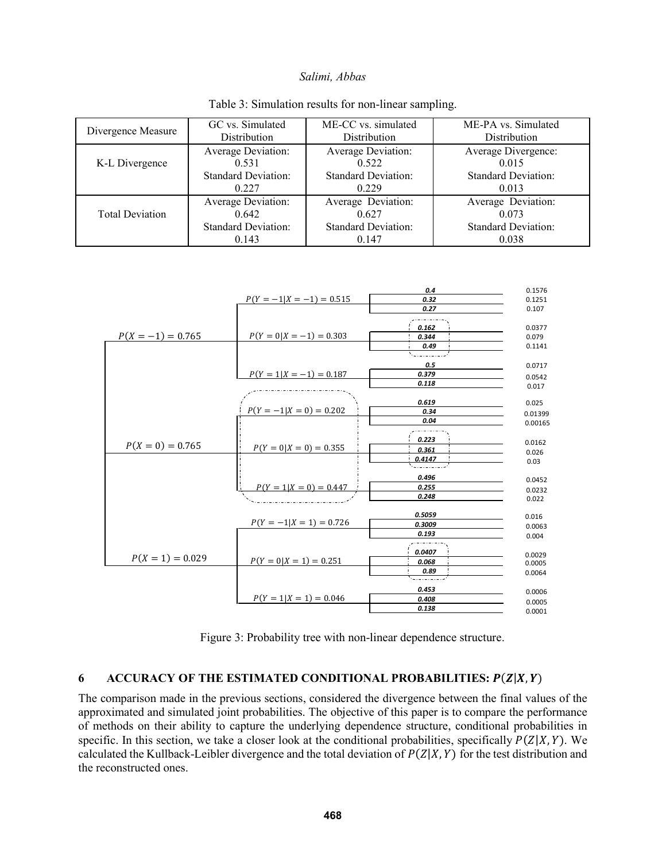| Divergence Measure     | GC vs. Simulated           | ME-CC vs. simulated        | ME-PA vs. Simulated        |
|------------------------|----------------------------|----------------------------|----------------------------|
|                        | Distribution               | Distribution               | Distribution               |
| K-L Divergence         | <b>Average Deviation:</b>  | <b>Average Deviation:</b>  | Average Divergence:        |
|                        | 0.531                      | 0.522                      | 0.015                      |
|                        | <b>Standard Deviation:</b> | <b>Standard Deviation:</b> | <b>Standard Deviation:</b> |
|                        | 0.227                      | 0.229                      | 0.013                      |
| <b>Total Deviation</b> | Average Deviation:         | Average Deviation:         | Average Deviation:         |
|                        | 0.642                      | 0.627                      | 0.073                      |
|                        | <b>Standard Deviation:</b> | <b>Standard Deviation:</b> | <b>Standard Deviation:</b> |
|                        | 0.143                      | 0.147                      | 0.038                      |

Table 3: Simulation results for non-linear sampling.

|                     |                             | 0.4    | 0.1576  |
|---------------------|-----------------------------|--------|---------|
|                     | $P(Y = -1 X = -1) = 0.515$  | 0.32   | 0.1251  |
|                     |                             | 0.27   | 0.107   |
|                     |                             |        |         |
|                     |                             | 0.162  | 0.0377  |
| $P(X = -1) = 0.765$ | $P(Y = 0 X = -1) = 0.303$   | 0.344  | 0.079   |
|                     |                             | 0.49   | 0.1141  |
|                     |                             |        |         |
|                     |                             | 0.5    | 0.0717  |
|                     | $P(Y = 1   X = -1) = 0.187$ | 0.379  | 0.0542  |
|                     |                             | 0.118  | 0.017   |
|                     |                             |        |         |
|                     |                             | 0.619  | 0.025   |
|                     | $P(Y = -1 X = 0) = 0.202$   | 0.34   | 0.01399 |
|                     |                             | 0.04   | 0.00165 |
|                     |                             |        |         |
|                     |                             | 0.223  | 0.0162  |
| $P(X = 0) = 0.765$  | $P(Y = 0 X = 0) = 0.355$    | 0.361  | 0.026   |
|                     |                             | 0.4147 |         |
|                     |                             |        | 0.03    |
|                     |                             | 0.496  |         |
|                     | $P(Y = 1   X = 0) = 0.447$  | 0.255  | 0.0452  |
|                     |                             | 0.248  | 0.0232  |
|                     |                             |        | 0.022   |
|                     |                             | 0.5059 | 0.016   |
|                     | $P(Y = -1 X = 1) = 0.726$   | 0.3009 |         |
|                     |                             | 0.193  | 0.0063  |
|                     |                             |        | 0.004   |
|                     |                             | 0.0407 | 0.0029  |
| $P(X = 1) = 0.029$  | $P(Y = 0 X = 1) = 0.251$    | 0.068  | 0.0005  |
|                     |                             | 0.89   | 0.0064  |
|                     |                             |        |         |
|                     |                             | 0.453  |         |
|                     | $P(Y = 1   X = 1) = 0.046$  | 0.408  | 0.0006  |
|                     |                             | 0.138  | 0.0005  |
|                     |                             |        | 0.0001  |

Figure 3: Probability tree with non-linear dependence structure.

# **6** ACCURACY OF THE ESTIMATED CONDITIONAL PROBABILITIES:  $P(Z|X, Y)$

The comparison made in the previous sections, considered the divergence between the final values of the approximated and simulated joint probabilities. The objective of this paper is to compare the performance of methods on their ability to capture the underlying dependence structure, conditional probabilities in specific. In this section, we take a closer look at the conditional probabilities, specifically  $P(Z|X, Y)$ . We calculated the Kullback-Leibler divergence and the total deviation of  $P(Z|X, Y)$  for the test distribution and the reconstructed ones.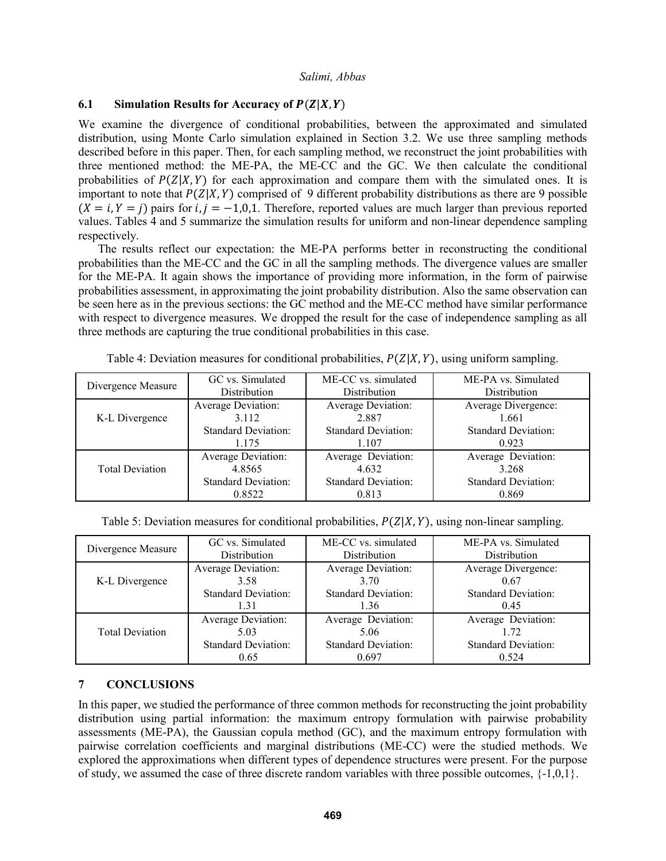# **6.1** Simulation Results for Accuracy of  $P(Z|X,Y)$

We examine the divergence of conditional probabilities, between the approximated and simulated distribution, using Monte Carlo simulation explained in Section 3.2. We use three sampling methods described before in this paper. Then, for each sampling method, we reconstruct the joint probabilities with three mentioned method: the ME-PA, the ME-CC and the GC. We then calculate the conditional probabilities of  $P(Z|X, Y)$  for each approximation and compare them with the simulated ones. It is important to note that  $P(Z|X, Y)$  comprised of 9 different probability distributions as there are 9 possible  $(X = i, Y = j)$  pairs for  $i, j = -1, 0, 1$ . Therefore, reported values are much larger than previous reported values. Tables 4 and 5 summarize the simulation results for uniform and non-linear dependence sampling respectively.

The results reflect our expectation: the ME-PA performs better in reconstructing the conditional probabilities than the ME-CC and the GC in all the sampling methods. The divergence values are smaller for the ME-PA. It again shows the importance of providing more information, in the form of pairwise probabilities assessment, in approximating the joint probability distribution. Also the same observation can be seen here as in the previous sections: the GC method and the ME-CC method have similar performance with respect to divergence measures. We dropped the result for the case of independence sampling as all three methods are capturing the true conditional probabilities in this case.

| Divergence Measure     | GC vs. Simulated           | ME-CC vs. simulated        | ME-PA vs. Simulated        |
|------------------------|----------------------------|----------------------------|----------------------------|
|                        | Distribution               | Distribution               | Distribution               |
| K-L Divergence         | <b>Average Deviation:</b>  | <b>Average Deviation:</b>  | Average Divergence:        |
|                        | 3 1 1 2                    | 2.887                      | 1.661                      |
|                        | <b>Standard Deviation:</b> | <b>Standard Deviation:</b> | Standard Deviation:        |
|                        | 1.175                      | 1.107                      | 0.923                      |
| <b>Total Deviation</b> | Average Deviation:         | Average Deviation:         | Average Deviation:         |
|                        | 4.8565                     | 4.632                      | 3.268                      |
|                        | <b>Standard Deviation:</b> | <b>Standard Deviation:</b> | <b>Standard Deviation:</b> |
|                        | 0.8522                     | 0.813                      | 0.869                      |

Table 4: Deviation measures for conditional probabilities,  $P(Z|X, Y)$ , using uniform sampling.

Table 5: Deviation measures for conditional probabilities,  $P(Z|X, Y)$ , using non-linear sampling.

|                        | GC vs. Simulated           | ME-CC vs. simulated        | ME-PA vs. Simulated        |
|------------------------|----------------------------|----------------------------|----------------------------|
| Divergence Measure     | Distribution               | Distribution               | Distribution               |
|                        | <b>Average Deviation:</b>  | <b>Average Deviation:</b>  | Average Divergence:        |
| K-L Divergence         | 3.58                       | 3.70                       | 0.67                       |
|                        | <b>Standard Deviation:</b> | <b>Standard Deviation:</b> | <b>Standard Deviation:</b> |
|                        | 1.31                       | 1.36                       | 0.45                       |
|                        | <b>Average Deviation:</b>  | Average Deviation:         | Average Deviation:         |
| <b>Total Deviation</b> | 5.03                       | 5.06                       | 1 72                       |
|                        | <b>Standard Deviation:</b> | <b>Standard Deviation:</b> | <b>Standard Deviation:</b> |
|                        | 0.65                       | 0.697                      | 0.524                      |

# **7 CONCLUSIONS**

In this paper, we studied the performance of three common methods for reconstructing the joint probability distribution using partial information: the maximum entropy formulation with pairwise probability assessments (ME-PA), the Gaussian copula method (GC), and the maximum entropy formulation with pairwise correlation coefficients and marginal distributions (ME-CC) were the studied methods. We explored the approximations when different types of dependence structures were present. For the purpose of study, we assumed the case of three discrete random variables with three possible outcomes,  $\{-1,0,1\}$ .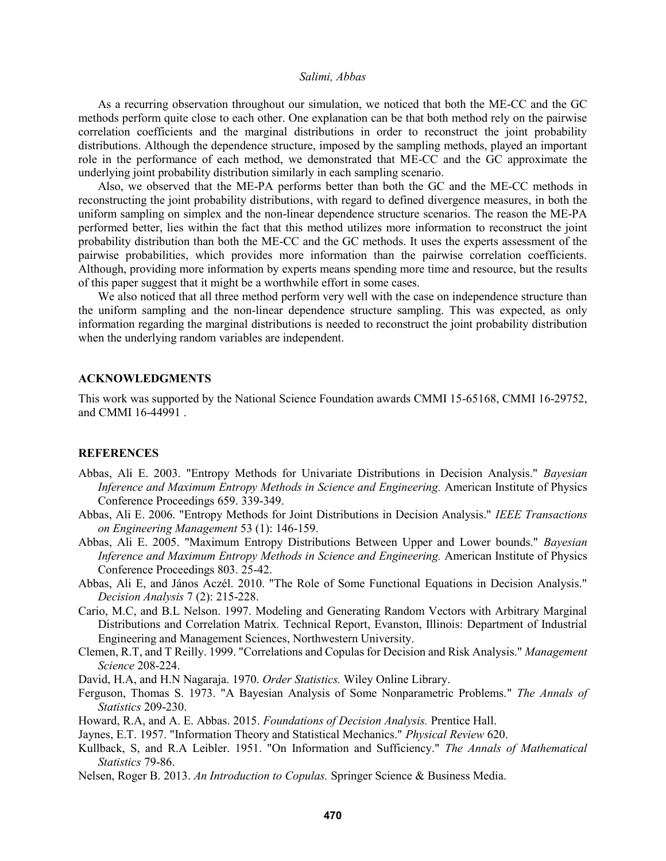As a recurring observation throughout our simulation, we noticed that both the ME-CC and the GC methods perform quite close to each other. One explanation can be that both method rely on the pairwise correlation coefficients and the marginal distributions in order to reconstruct the joint probability distributions. Although the dependence structure, imposed by the sampling methods, played an important role in the performance of each method, we demonstrated that ME-CC and the GC approximate the underlying joint probability distribution similarly in each sampling scenario.

Also, we observed that the ME-PA performs better than both the GC and the ME-CC methods in reconstructing the joint probability distributions, with regard to defined divergence measures, in both the uniform sampling on simplex and the non-linear dependence structure scenarios. The reason the ME-PA performed better, lies within the fact that this method utilizes more information to reconstruct the joint probability distribution than both the ME-CC and the GC methods. It uses the experts assessment of the pairwise probabilities, which provides more information than the pairwise correlation coefficients. Although, providing more information by experts means spending more time and resource, but the results of this paper suggest that it might be a worthwhile effort in some cases.

We also noticed that all three method perform very well with the case on independence structure than the uniform sampling and the non-linear dependence structure sampling. This was expected, as only information regarding the marginal distributions is needed to reconstruct the joint probability distribution when the underlying random variables are independent.

#### **ACKNOWLEDGMENTS**

This work was supported by the National Science Foundation awards CMMI 15-65168, CMMI 16-29752, and CMMI 16-44991 .

### **REFERENCES**

- Abbas, Ali E. 2003. "Entropy Methods for Univariate Distributions in Decision Analysis." *Bayesian Inference and Maximum Entropy Methods in Science and Engineering.* American Institute of Physics Conference Proceedings 659. 339-349.
- Abbas, Ali E. 2006. "Entropy Methods for Joint Distributions in Decision Analysis." *IEEE Transactions on Engineering Management* 53 (1): 146-159.
- Abbas, Ali E. 2005. "Maximum Entropy Distributions Between Upper and Lower bounds." *Bayesian Inference and Maximum Entropy Methods in Science and Engineering.* American Institute of Physics Conference Proceedings 803. 25-42.
- Abbas, Ali E, and János Aczél. 2010. "The Role of Some Functional Equations in Decision Analysis." *Decision Analysis* 7 (2): 215-228.
- Cario, M.C, and B.L Nelson. 1997. Modeling and Generating Random Vectors with Arbitrary Marginal Distributions and Correlation Matrix*.* Technical Report, Evanston, Illinois: Department of Industrial Engineering and Management Sciences, Northwestern University.
- Clemen, R.T, and T Reilly. 1999. "Correlations and Copulas for Decision and Risk Analysis." *Management Science* 208-224.
- David, H.A, and H.N Nagaraja. 1970. *Order Statistics.* Wiley Online Library.
- Ferguson, Thomas S. 1973. "A Bayesian Analysis of Some Nonparametric Problems." *The Annals of Statistics* 209-230.
- Howard, R.A, and A. E. Abbas. 2015. *Foundations of Decision Analysis.* Prentice Hall.
- Jaynes, E.T. 1957. "Information Theory and Statistical Mechanics." *Physical Review* 620.
- Kullback, S, and R.A Leibler. 1951. "On Information and Sufficiency." *The Annals of Mathematical Statistics* 79-86.
- Nelsen, Roger B. 2013. *An Introduction to Copulas.* Springer Science & Business Media.